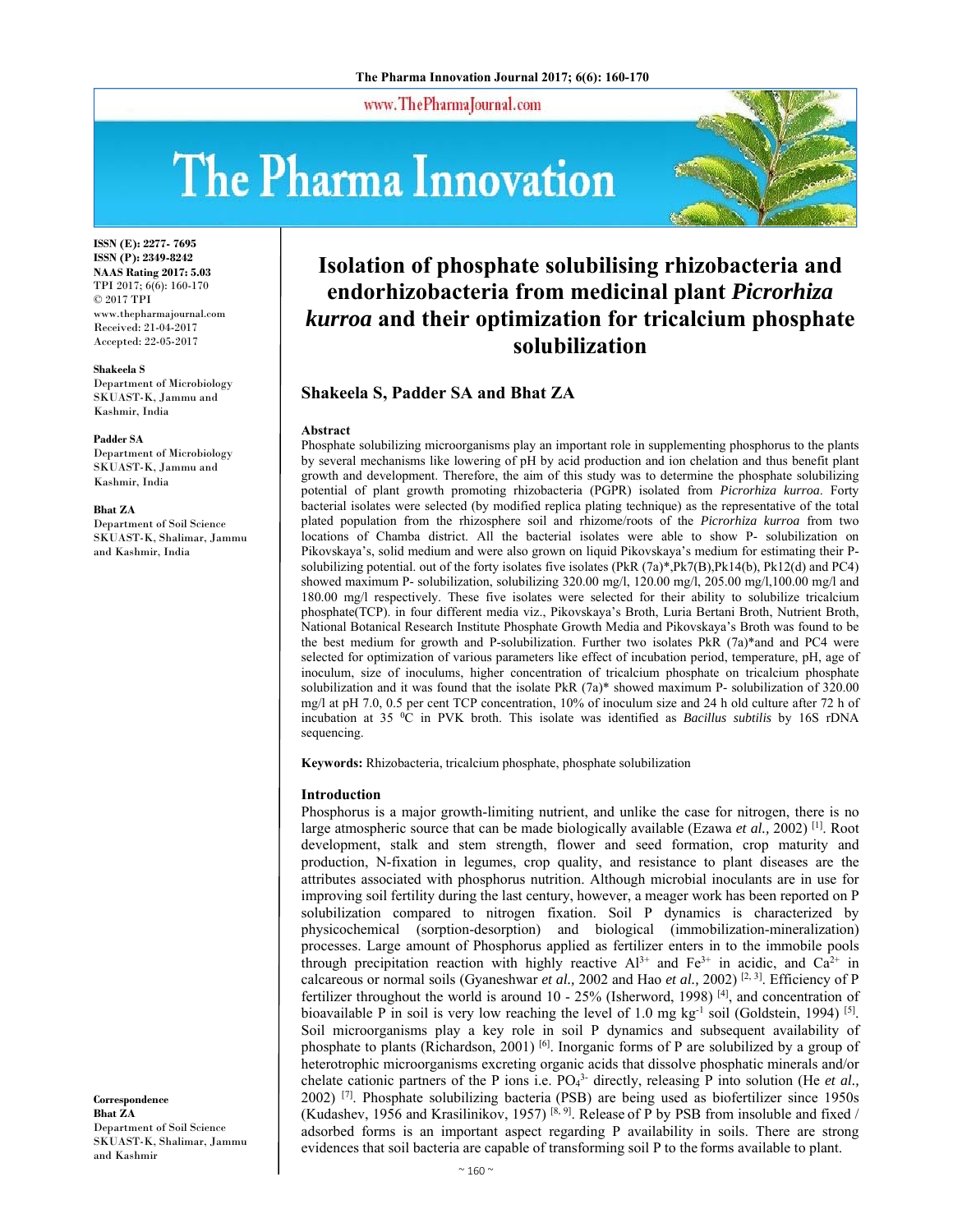www.ThePharmaJournal.com

# The Pharma Innovation



**ISSN (E): 2277- 7695 ISSN (P): 2349-8242 NAAS Rating 2017: 5.03** TPI 2017; 6(6): 160-170 © 2017 TPI www.thepharmajournal.com Received: 21-04-2017 Accepted: 22-05-2017

#### **Shakeela S**

Department of Microbiology SKUAST-K, Jammu and Kashmir, India

#### **Padder SA**

Department of Microbiology SKUAST-K, Jammu and Kashmir, India

#### **Bhat ZA**

Department of Soil Science SKUAST-K, Shalimar, Jammu and Kashmir, India

**Correspondence Bhat ZA**  Department of Soil Science SKUAST-K, Shalimar, Jammu and Kashmir

### **Isolation of phosphate solubilising rhizobacteria and endorhizobacteria from medicinal plant** *Picrorhiza kurroa* **and their optimization for tricalcium phosphate solubilization**

#### **Shakeela S, Padder SA and Bhat ZA**

#### **Abstract**

Phosphate solubilizing microorganisms play an important role in supplementing phosphorus to the plants by several mechanisms like lowering of pH by acid production and ion chelation and thus benefit plant growth and development. Therefore, the aim of this study was to determine the phosphate solubilizing potential of plant growth promoting rhizobacteria (PGPR) isolated from *Picrorhiza kurroa*. Forty bacterial isolates were selected (by modified replica plating technique) as the representative of the total plated population from the rhizosphere soil and rhizome/roots of the *Picrorhiza kurroa* from two locations of Chamba district. All the bacterial isolates were able to show P- solubilization on Pikovskaya's, solid medium and were also grown on liquid Pikovskaya's medium for estimating their Psolubilizing potential. out of the forty isolates five isolates (PkR (7a)\*,Pk7(B),Pk14(b), Pk12(d) and PC4) showed maximum P- solubilization, solubilizing 320.00 mg/l, 120.00 mg/l, 205.00 mg/l,100.00 mg/l and 180.00 mg/l respectively. These five isolates were selected for their ability to solubilize tricalcium phosphate(TCP). in four different media viz., Pikovskaya's Broth, Luria Bertani Broth, Nutrient Broth, National Botanical Research Institute Phosphate Growth Media and Pikovskaya's Broth was found to be the best medium for growth and P-solubilization. Further two isolates PkR (7a)\*and and PC4 were selected for optimization of various parameters like effect of incubation period, temperature, pH, age of inoculum, size of inoculums, higher concentration of tricalcium phosphate on tricalcium phosphate solubilization and it was found that the isolate PkR  $(7a)^*$  showed maximum P- solubilization of 320.00 mg/l at pH 7.0, 0.5 per cent TCP concentration, 10% of inoculum size and 24 h old culture after 72 h of incubation at 35 0C in PVK broth. This isolate was identified as *Bacillus subtilis* by 16S rDNA sequencing.

**Keywords:** Rhizobacteria, tricalcium phosphate, phosphate solubilization

#### **Introduction**

Phosphorus is a major growth-limiting nutrient, and unlike the case for nitrogen, there is no large atmospheric source that can be made biologically available (Ezawa *et al.,* 2002) [1]. Root development, stalk and stem strength, flower and seed formation, crop maturity and production, N-fixation in legumes, crop quality, and resistance to plant diseases are the attributes associated with phosphorus nutrition. Although microbial inoculants are in use for improving soil fertility during the last century, however, a meager work has been reported on P solubilization compared to nitrogen fixation. Soil P dynamics is characterized by physicochemical (sorption-desorption) and biological (immobilization-mineralization) processes. Large amount of Phosphorus applied as fertilizer enters in to the immobile pools through precipitation reaction with highly reactive  $Al^{3+}$  and  $Fe^{3+}$  in acidic, and  $Ca^{2+}$  in calcareous or normal soils (Gyaneshwar *et al.,* 2002 and Hao *et al.,* 2002) [2, 3]. Efficiency of P fertilizer throughout the world is around 10 - 25% (Isherword, 1998)  $[4]$ , and concentration of bioavailable P in soil is very low reaching the level of 1.0 mg  $kg^{-1}$  soil (Goldstein, 1994) <sup>[5]</sup>. Soil microorganisms play a key role in soil P dynamics and subsequent availability of phosphate to plants (Richardson, 2001)<sup>[6]</sup>. Inorganic forms of P are solubilized by a group of heterotrophic microorganisms excreting organic acids that dissolve phosphatic minerals and/or chelate cationic partners of the P ions i.e. PO4 3- directly, releasing P into solution (He *et al.,* 2002) [7]. Phosphate solubilizing bacteria (PSB) are being used as biofertilizer since 1950s (Kudashev, 1956 and Krasilinikov, 1957) <sup>[8, 9]</sup>. Release of P by PSB from insoluble and fixed / adsorbed forms is an important aspect regarding P availability in soils. There are strong evidences that soil bacteria are capable of transforming soil P to the forms available to plant.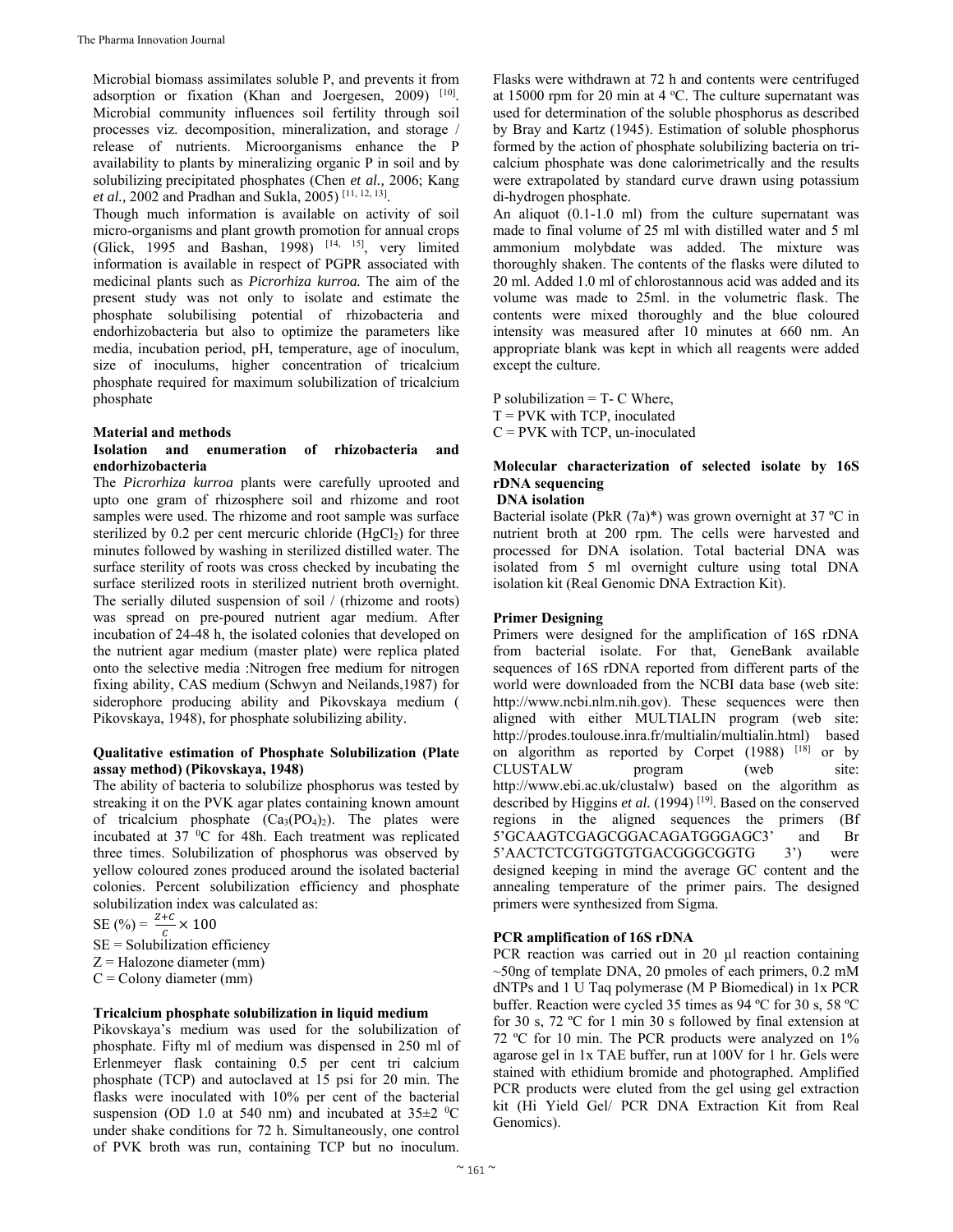Microbial biomass assimilates soluble P, and prevents it from adsorption or fixation (Khan and Joergesen, 2009) [10]. Microbial community influences soil fertility through soil processes viz. decomposition, mineralization, and storage / release of nutrients. Microorganisms enhance the P availability to plants by mineralizing organic P in soil and by solubilizing precipitated phosphates (Chen *et al.,* 2006; Kang *et al.,* 2002 and Pradhan and Sukla, 2005) [11, 12, 13].

Though much information is available on activity of soil micro-organisms and plant growth promotion for annual crops (Glick, 1995 and Bashan, 1998) [14, 15], very limited information is available in respect of PGPR associated with medicinal plants such as *Picrorhiza kurroa.* The aim of the present study was not only to isolate and estimate the phosphate solubilising potential of rhizobacteria and endorhizobacteria but also to optimize the parameters like media, incubation period, pH, temperature, age of inoculum, size of inoculums, higher concentration of tricalcium phosphate required for maximum solubilization of tricalcium phosphate

#### **Material and methods**

#### **Isolation and enumeration of rhizobacteria and endorhizobacteria**

The *Picrorhiza kurroa* plants were carefully uprooted and upto one gram of rhizosphere soil and rhizome and root samples were used. The rhizome and root sample was surface sterilized by 0.2 per cent mercuric chloride  $(HgCl<sub>2</sub>)$  for three minutes followed by washing in sterilized distilled water. The surface sterility of roots was cross checked by incubating the surface sterilized roots in sterilized nutrient broth overnight. The serially diluted suspension of soil / (rhizome and roots) was spread on pre-poured nutrient agar medium. After incubation of 24-48 h, the isolated colonies that developed on the nutrient agar medium (master plate) were replica plated onto the selective media :Nitrogen free medium for nitrogen fixing ability, CAS medium (Schwyn and Neilands,1987) for siderophore producing ability and Pikovskaya medium ( Pikovskaya, 1948), for phosphate solubilizing ability.

#### **Qualitative estimation of Phosphate Solubilization (Plate assay method) (Pikovskaya, 1948)**

The ability of bacteria to solubilize phosphorus was tested by streaking it on the PVK agar plates containing known amount of tricalcium phosphate  $(Ca_3(PO_4)_2)$ . The plates were incubated at 37 °C for 48h. Each treatment was replicated three times. Solubilization of phosphorus was observed by yellow coloured zones produced around the isolated bacterial colonies. Percent solubilization efficiency and phosphate solubilization index was calculated as:

SE (%) =  $\frac{z+c}{c} \times 100$ 

 $SE =$  Solubilization efficiency

 $Z =$  Halozone diameter (mm)

 $C =$  Colony diameter (mm)

#### **Tricalcium phosphate solubilization in liquid medium**

Pikovskaya's medium was used for the solubilization of phosphate. Fifty ml of medium was dispensed in 250 ml of Erlenmeyer flask containing 0.5 per cent tri calcium phosphate (TCP) and autoclaved at 15 psi for 20 min. The flasks were inoculated with 10% per cent of the bacterial suspension (OD 1.0 at 540 nm) and incubated at  $35\pm2~^0C$ under shake conditions for 72 h. Simultaneously, one control of PVK broth was run, containing TCP but no inoculum.

Flasks were withdrawn at 72 h and contents were centrifuged at  $15000$  rpm for 20 min at  $4^{\circ}$ C. The culture supernatant was used for determination of the soluble phosphorus as described by Bray and Kartz (1945). Estimation of soluble phosphorus formed by the action of phosphate solubilizing bacteria on tricalcium phosphate was done calorimetrically and the results were extrapolated by standard curve drawn using potassium di-hydrogen phosphate.

An aliquot (0.1-1.0 ml) from the culture supernatant was made to final volume of 25 ml with distilled water and 5 ml ammonium molybdate was added. The mixture was thoroughly shaken. The contents of the flasks were diluted to 20 ml. Added 1.0 ml of chlorostannous acid was added and its volume was made to 25ml. in the volumetric flask. The contents were mixed thoroughly and the blue coloured intensity was measured after 10 minutes at 660 nm. An appropriate blank was kept in which all reagents were added except the culture.

P solubilization  $=$  T- C Where,  $T = PVK$  with TCP, inoculated  $C = PVK$  with TCP, un-inoculated

#### **Molecular characterization of selected isolate by 16S rDNA sequencing**

#### **DNA isolation**

Bacterial isolate (PkR (7a)\*) was grown overnight at 37 ºC in nutrient broth at 200 rpm. The cells were harvested and processed for DNA isolation. Total bacterial DNA was isolated from 5 ml overnight culture using total DNA isolation kit (Real Genomic DNA Extraction Kit).

#### **Primer Designing**

Primers were designed for the amplification of 16S rDNA from bacterial isolate. For that, GeneBank available sequences of 16S rDNA reported from different parts of the world were downloaded from the NCBI data base (web site: http://www.ncbi.nlm.nih.gov). These sequences were then aligned with either MULTIALIN program (web site: http://prodes.toulouse.inra.fr/multialin/multialin.html) based on algorithm as reported by Corpet (1988) [18] or by CLUSTALW program (web site: http://www.ebi.ac.uk/clustalw) based on the algorithm as described by Higgins et al. (1994)<sup>[19]</sup>. Based on the conserved regions in the aligned sequences the primers (Bf 5'GCAAGTCGAGCGGACAGATGGGAGC3' and Br 5'AACTCTCGTGGTGTGACGGGCGGTG 3') were designed keeping in mind the average GC content and the annealing temperature of the primer pairs. The designed primers were synthesized from Sigma.

#### **PCR amplification of 16S rDNA**

PCR reaction was carried out in 20 µl reaction containing  $\sim$ 50ng of template DNA, 20 pmoles of each primers, 0.2 mM dNTPs and 1 U Taq polymerase (M P Biomedical) in 1x PCR buffer. Reaction were cycled 35 times as 94 ºC for 30 s, 58 ºC for 30 s, 72 ºC for 1 min 30 s followed by final extension at 72 ºC for 10 min. The PCR products were analyzed on 1% agarose gel in 1x TAE buffer, run at 100V for 1 hr. Gels were stained with ethidium bromide and photographed. Amplified PCR products were eluted from the gel using gel extraction kit (Hi Yield Gel/ PCR DNA Extraction Kit from Real Genomics).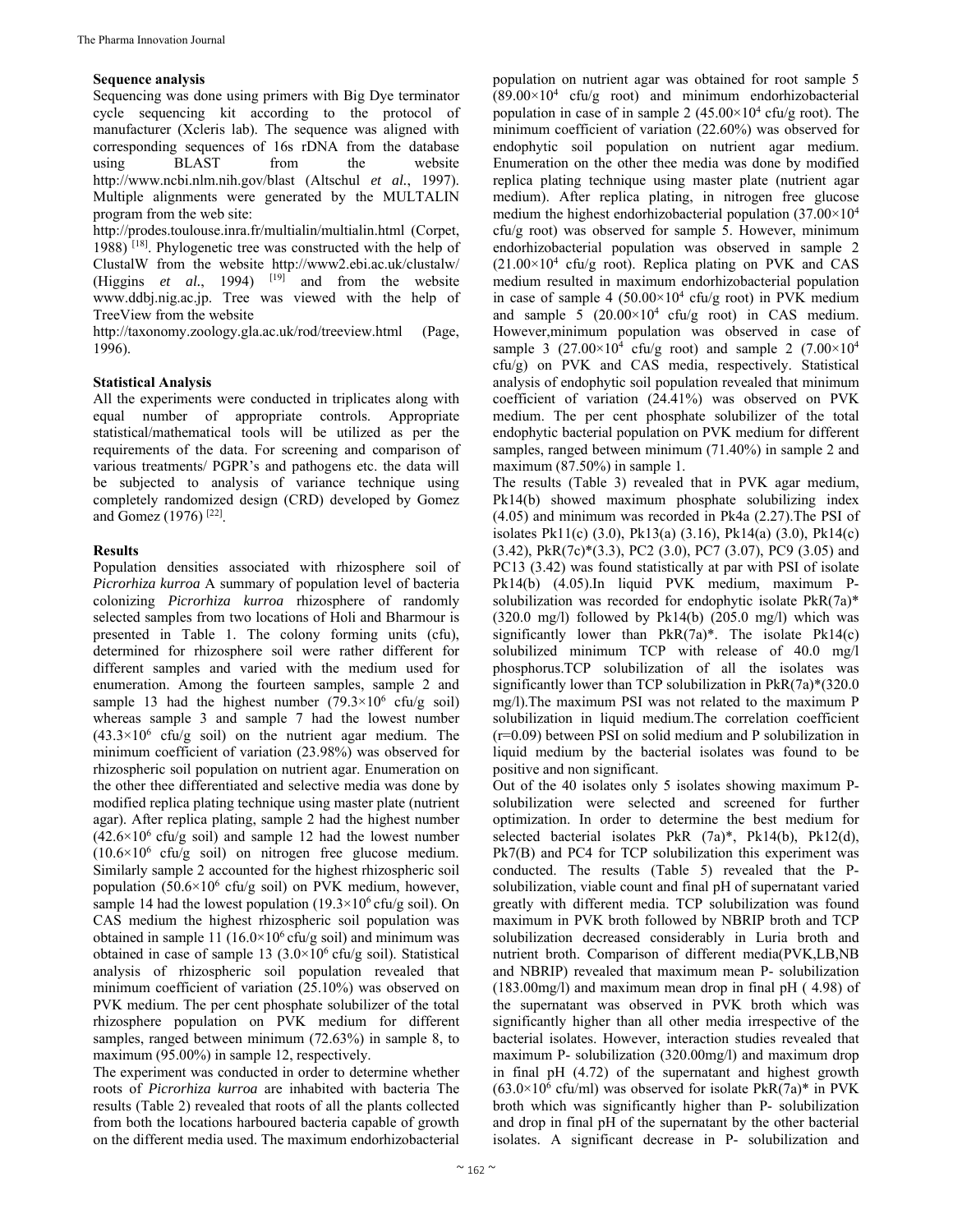#### **Sequence analysis**

Sequencing was done using primers with Big Dye terminator cycle sequencing kit according to the protocol of manufacturer (Xcleris lab). The sequence was aligned with corresponding sequences of 16s rDNA from the database using BLAST from the website http://www.ncbi.nlm.nih.gov/blast (Altschul *et al.*, 1997). Multiple alignments were generated by the MULTALIN program from the web site:

http://prodes.toulouse.inra.fr/multialin/multialin.html (Corpet,  $1988$ )<sup>[18]</sup>. Phylogenetic tree was constructed with the help of ClustalW from the website http://www2.ebi.ac.uk/clustalw/ (Higgins  $et \ al., \ 1994$ )  $[19]$  and from the website www.ddbj.nig.ac.jp. Tree was viewed with the help of TreeView from the website

http://taxonomy.zoology.gla.ac.uk/rod/treeview.html (Page, 1996).

#### **Statistical Analysis**

All the experiments were conducted in triplicates along with equal number of appropriate controls. Appropriate statistical/mathematical tools will be utilized as per the requirements of the data. For screening and comparison of various treatments/ PGPR's and pathogens etc. the data will be subjected to analysis of variance technique using completely randomized design (CRD) developed by Gomez and Gomez (1976) [22].

#### **Results**

Population densities associated with rhizosphere soil of *Picrorhiza kurroa* A summary of population level of bacteria colonizing *Picrorhiza kurroa* rhizosphere of randomly selected samples from two locations of Holi and Bharmour is presented in Table 1. The colony forming units (cfu), determined for rhizosphere soil were rather different for different samples and varied with the medium used for enumeration. Among the fourteen samples, sample 2 and sample 13 had the highest number  $(79.3 \times 10^6 \text{ cfty g soil})$ whereas sample 3 and sample 7 had the lowest number  $(43.3\times10^6 \text{ cfu/g soil})$  on the nutrient agar medium. The minimum coefficient of variation (23.98%) was observed for rhizospheric soil population on nutrient agar. Enumeration on the other thee differentiated and selective media was done by modified replica plating technique using master plate (nutrient agar). After replica plating, sample 2 had the highest number  $(42.6\times10^6 \text{ cftu/g soil})$  and sample 12 had the lowest number  $(10.6\times10^6 \text{ cftu/g soil})$  on nitrogen free glucose medium. Similarly sample 2 accounted for the highest rhizospheric soil population (50.6 $\times$ 10<sup>6</sup> cfu/g soil) on PVK medium, however, sample 14 had the lowest population  $(19.3\times10^6 \text{ cftu/g soil})$ . On CAS medium the highest rhizospheric soil population was obtained in sample 11 ( $16.0 \times 10^6$  cfu/g soil) and minimum was obtained in case of sample 13  $(3.0 \times 10^6 \text{ cfty/g soil})$ . Statistical analysis of rhizospheric soil population revealed that minimum coefficient of variation (25.10%) was observed on PVK medium. The per cent phosphate solubilizer of the total rhizosphere population on PVK medium for different samples, ranged between minimum (72.63%) in sample 8, to maximum (95.00%) in sample 12, respectively.

The experiment was conducted in order to determine whether roots of *Picrorhiza kurroa* are inhabited with bacteria The results (Table 2) revealed that roots of all the plants collected from both the locations harboured bacteria capable of growth on the different media used. The maximum endorhizobacterial

population on nutrient agar was obtained for root sample 5  $(89.00\times10^4 \text{ cfu/g root})$  and minimum endorhizobacterial population in case of in sample 2  $(45.00 \times 10^4 \text{ cftu/g root})$ . The minimum coefficient of variation (22.60%) was observed for endophytic soil population on nutrient agar medium. Enumeration on the other thee media was done by modified replica plating technique using master plate (nutrient agar medium). After replica plating, in nitrogen free glucose medium the highest endorhizobacterial population (37.00×104 cfu/g root) was observed for sample 5. However, minimum endorhizobacterial population was observed in sample 2 (21.00×104 cfu/g root). Replica plating on PVK and CAS medium resulted in maximum endorhizobacterial population in case of sample 4  $(50.00 \times 10^4 \text{ cfty}$  root) in PVK medium and sample 5  $(20.00 \times 10^4 \text{ cftu/g root})$  in CAS medium. However,minimum population was observed in case of sample 3  $(27.00 \times 10^4 \text{ cftu/g root})$  and sample 2  $(7.00 \times 10^4 \text{ cftu/g})$ cfu/g) on PVK and CAS media, respectively. Statistical analysis of endophytic soil population revealed that minimum coefficient of variation (24.41%) was observed on PVK medium. The per cent phosphate solubilizer of the total endophytic bacterial population on PVK medium for different samples, ranged between minimum (71.40%) in sample 2 and maximum (87.50%) in sample 1.

The results (Table 3) revealed that in PVK agar medium, Pk14(b) showed maximum phosphate solubilizing index (4.05) and minimum was recorded in Pk4a (2.27).The PSI of isolates Pk11(c) (3.0), Pk13(a) (3.16), Pk14(a) (3.0), Pk14(c) (3.42), PkR(7c)\*(3.3), PC2 (3.0), PC7 (3.07), PC9 (3.05) and PC13 (3.42) was found statistically at par with PSI of isolate Pk14(b) (4.05).In liquid PVK medium, maximum Psolubilization was recorded for endophytic isolate PkR(7a)\*  $(320.0 \text{ mg/l})$  followed by Pk14(b)  $(205.0 \text{ mg/l})$  which was significantly lower than  $PkR(7a)^*$ . The isolate  $Pk14(c)$ solubilized minimum TCP with release of 40.0 mg/l phosphorus.TCP solubilization of all the isolates was significantly lower than TCP solubilization in  $PkR(7a)*(320.0)$ mg/l).The maximum PSI was not related to the maximum P solubilization in liquid medium.The correlation coefficient (r=0.09) between PSI on solid medium and P solubilization in liquid medium by the bacterial isolates was found to be positive and non significant.

Out of the 40 isolates only 5 isolates showing maximum Psolubilization were selected and screened for further optimization. In order to determine the best medium for selected bacterial isolates PkR (7a)\*, Pk14(b), Pk12(d), Pk7(B) and PC4 for TCP solubilization this experiment was conducted. The results (Table 5) revealed that the Psolubilization, viable count and final pH of supernatant varied greatly with different media. TCP solubilization was found maximum in PVK broth followed by NBRIP broth and TCP solubilization decreased considerably in Luria broth and nutrient broth. Comparison of different media(PVK,LB,NB and NBRIP) revealed that maximum mean P- solubilization (183.00mg/l) and maximum mean drop in final pH ( 4.98) of the supernatant was observed in PVK broth which was significantly higher than all other media irrespective of the bacterial isolates. However, interaction studies revealed that maximum P- solubilization (320.00mg/l) and maximum drop in final pH (4.72) of the supernatant and highest growth  $(63.0 \times 10^6 \text{ cftu/ml})$  was observed for isolate PkR(7a)\* in PVK broth which was significantly higher than P- solubilization and drop in final pH of the supernatant by the other bacterial isolates. A significant decrease in P- solubilization and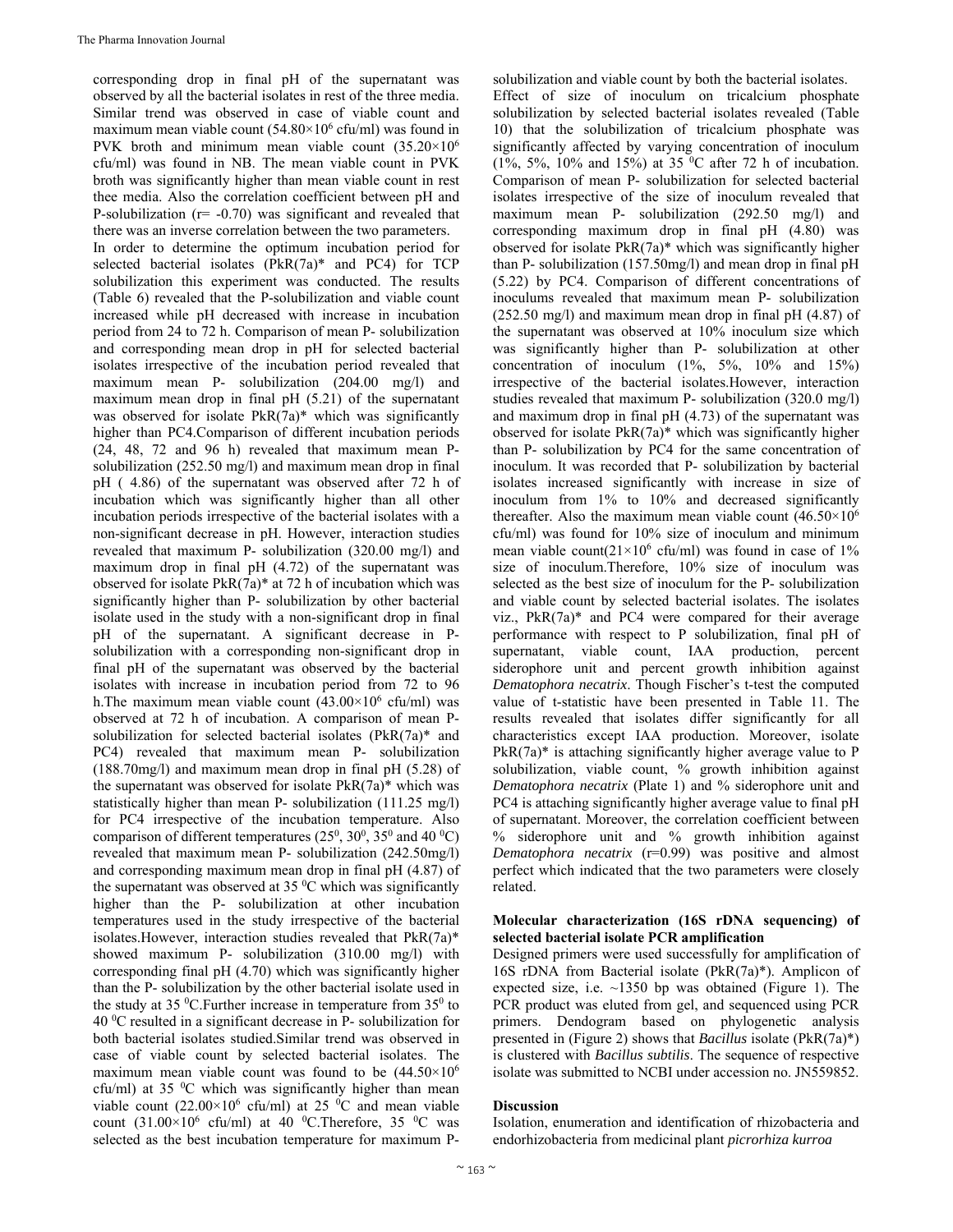corresponding drop in final pH of the supernatant was observed by all the bacterial isolates in rest of the three media. Similar trend was observed in case of viable count and maximum mean viable count  $(54.80\times10^6 \text{ cft/ml})$  was found in PVK broth and minimum mean viable count  $(35.20\times10^6$ cfu/ml) was found in NB. The mean viable count in PVK broth was significantly higher than mean viable count in rest thee media. Also the correlation coefficient between pH and P-solubilization ( $r = -0.70$ ) was significant and revealed that there was an inverse correlation between the two parameters. In order to determine the optimum incubation period for selected bacterial isolates (PkR(7a)\* and PC4) for TCP solubilization this experiment was conducted. The results (Table 6) revealed that the P-solubilization and viable count increased while pH decreased with increase in incubation period from 24 to 72 h. Comparison of mean P- solubilization and corresponding mean drop in pH for selected bacterial isolates irrespective of the incubation period revealed that maximum mean P- solubilization (204.00 mg/l) and maximum mean drop in final pH (5.21) of the supernatant was observed for isolate PkR(7a)\* which was significantly higher than PC4.Comparison of different incubation periods (24, 48, 72 and 96 h) revealed that maximum mean Psolubilization (252.50 mg/l) and maximum mean drop in final pH ( 4.86) of the supernatant was observed after 72 h of incubation which was significantly higher than all other incubation periods irrespective of the bacterial isolates with a non-significant decrease in pH. However, interaction studies revealed that maximum P- solubilization (320.00 mg/l) and maximum drop in final pH (4.72) of the supernatant was observed for isolate PkR(7a)\* at 72 h of incubation which was significantly higher than P- solubilization by other bacterial isolate used in the study with a non-significant drop in final pH of the supernatant. A significant decrease in Psolubilization with a corresponding non-significant drop in final pH of the supernatant was observed by the bacterial isolates with increase in incubation period from 72 to 96 h. The maximum mean viable count  $(43.00 \times 10^6 \text{ cft/ml})$  was observed at 72 h of incubation. A comparison of mean Psolubilization for selected bacterial isolates (PkR(7a)\* and PC4) revealed that maximum mean P- solubilization (188.70mg/l) and maximum mean drop in final pH (5.28) of the supernatant was observed for isolate  $PkR(7a)*$  which was statistically higher than mean P- solubilization (111.25 mg/l) for PC4 irrespective of the incubation temperature. Also comparison of different temperatures  $(25^0, 30^0, 35^0$  and  $40^{\circ}$ C) revealed that maximum mean P- solubilization (242.50mg/l) and corresponding maximum mean drop in final pH (4.87) of the supernatant was observed at 35 $\mathrm{^0C}$  which was significantly higher than the P- solubilization at other incubation temperatures used in the study irrespective of the bacterial isolates.However, interaction studies revealed that PkR(7a)\* showed maximum P- solubilization (310.00 mg/l) with corresponding final pH (4.70) which was significantly higher than the P- solubilization by the other bacterial isolate used in the study at 35  $\mathrm{^{0}C}$ . Further increase in temperature from 35 $\mathrm{^{0}}$  to 40 0 C resulted in a significant decrease in P- solubilization for both bacterial isolates studied.Similar trend was observed in case of viable count by selected bacterial isolates. The maximum mean viable count was found to be  $(44.50\times10^{6}$ cfu/ml) at 35  $\rm{^0C}$  which was significantly higher than mean viable count  $(22.00 \times 10^6 \text{ cft/ml})$  at 25 <sup>0</sup>C and mean viable count  $(31.00 \times 10^6 \text{ cftu/ml})$  at 40 <sup>0</sup>C. Therefore, 35 <sup>0</sup>C was selected as the best incubation temperature for maximum P-

solubilization and viable count by both the bacterial isolates. Effect of size of inoculum on tricalcium phosphate solubilization by selected bacterial isolates revealed (Table 10) that the solubilization of tricalcium phosphate was significantly affected by varying concentration of inoculum (1%, 5%, 10% and 15%) at 35 °C after 72 h of incubation. Comparison of mean P- solubilization for selected bacterial isolates irrespective of the size of inoculum revealed that maximum mean P- solubilization (292.50 mg/l) and corresponding maximum drop in final pH (4.80) was observed for isolate PkR(7a)\* which was significantly higher than P- solubilization (157.50mg/l) and mean drop in final pH (5.22) by PC4. Comparison of different concentrations of inoculums revealed that maximum mean P- solubilization (252.50 mg/l) and maximum mean drop in final pH (4.87) of the supernatant was observed at 10% inoculum size which was significantly higher than P- solubilization at other concentration of inoculum  $(1\%, 5\%, 10\%$  and  $15\%)$ irrespective of the bacterial isolates.However, interaction studies revealed that maximum P- solubilization (320.0 mg/l) and maximum drop in final pH (4.73) of the supernatant was observed for isolate PkR(7a)\* which was significantly higher than P- solubilization by PC4 for the same concentration of inoculum. It was recorded that P- solubilization by bacterial isolates increased significantly with increase in size of inoculum from 1% to 10% and decreased significantly thereafter. Also the maximum mean viable count  $(46.50\times10^{6}$ cfu/ml) was found for 10% size of inoculum and minimum mean viable count( $21 \times 10^6$  cfu/ml) was found in case of 1% size of inoculum.Therefore, 10% size of inoculum was selected as the best size of inoculum for the P- solubilization and viable count by selected bacterial isolates. The isolates viz.,  $PkR(7a)*$  and PC4 were compared for their average performance with respect to P solubilization, final pH of supernatant, viable count, IAA production, percent siderophore unit and percent growth inhibition against *Dematophora necatrix*. Though Fischer's t-test the computed value of t-statistic have been presented in Table 11. The results revealed that isolates differ significantly for all characteristics except IAA production. Moreover, isolate  $PKR(7a)$ <sup>\*</sup> is attaching significantly higher average value to P solubilization, viable count, % growth inhibition against *Dematophora necatrix* (Plate 1) and % siderophore unit and PC4 is attaching significantly higher average value to final pH of supernatant. Moreover, the correlation coefficient between % siderophore unit and % growth inhibition against *Dematophora necatrix* (r=0.99) was positive and almost perfect which indicated that the two parameters were closely related. **Molecular characterization (16S rDNA sequencing) of** 

## **selected bacterial isolate PCR amplification**

Designed primers were used successfully for amplification of 16S rDNA from Bacterial isolate (PkR(7a)\*). Amplicon of expected size, i.e.  $\sim$ 1350 bp was obtained (Figure 1). The PCR product was eluted from gel, and sequenced using PCR primers. Dendogram based on phylogenetic analysis presented in (Figure 2) shows that *Bacillus* isolate (PkR(7a)\*) is clustered with *Bacillus subtilis*. The sequence of respective isolate was submitted to NCBI under accession no. JN559852.

#### **Discussion**

Isolation, enumeration and identification of rhizobacteria and endorhizobacteria from medicinal plant *picrorhiza kurroa*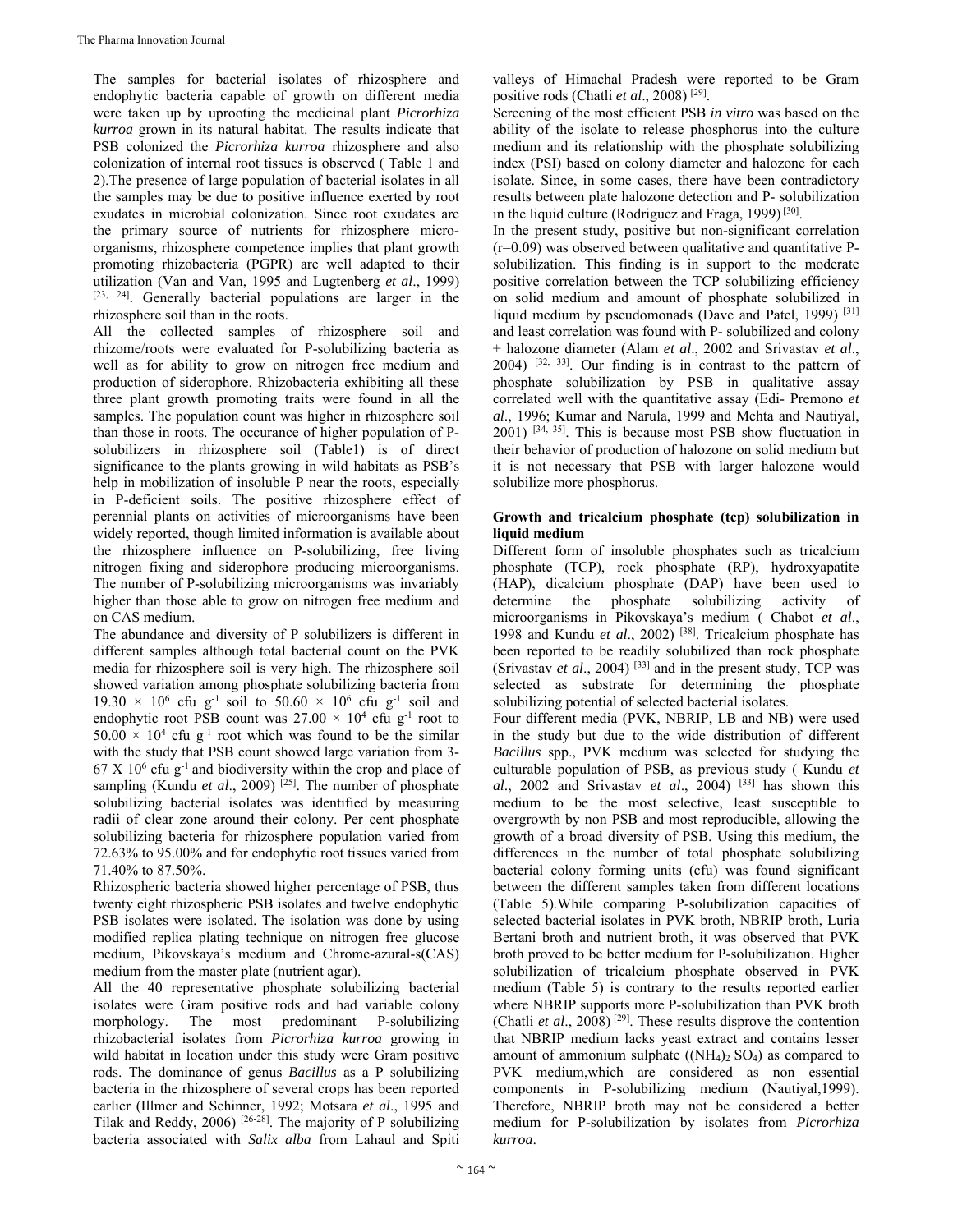The samples for bacterial isolates of rhizosphere and endophytic bacteria capable of growth on different media were taken up by uprooting the medicinal plant *Picrorhiza kurroa* grown in its natural habitat. The results indicate that PSB colonized the *Picrorhiza kurroa* rhizosphere and also colonization of internal root tissues is observed ( Table 1 and 2).The presence of large population of bacterial isolates in all the samples may be due to positive influence exerted by root exudates in microbial colonization. Since root exudates are the primary source of nutrients for rhizosphere microorganisms, rhizosphere competence implies that plant growth promoting rhizobacteria (PGPR) are well adapted to their utilization (Van and Van, 1995 and Lugtenberg *et al*., 1999) [23, 24]. Generally bacterial populations are larger in the rhizosphere soil than in the roots.

All the collected samples of rhizosphere soil and rhizome/roots were evaluated for P-solubilizing bacteria as well as for ability to grow on nitrogen free medium and production of siderophore. Rhizobacteria exhibiting all these three plant growth promoting traits were found in all the samples. The population count was higher in rhizosphere soil than those in roots. The occurance of higher population of Psolubilizers in rhizosphere soil (Table1) is of direct significance to the plants growing in wild habitats as PSB's help in mobilization of insoluble P near the roots, especially in P-deficient soils. The positive rhizosphere effect of perennial plants on activities of microorganisms have been widely reported, though limited information is available about the rhizosphere influence on P-solubilizing, free living nitrogen fixing and siderophore producing microorganisms. The number of P-solubilizing microorganisms was invariably higher than those able to grow on nitrogen free medium and on CAS medium.

The abundance and diversity of P solubilizers is different in different samples although total bacterial count on the PVK media for rhizosphere soil is very high. The rhizosphere soil showed variation among phosphate solubilizing bacteria from  $19.30 \times 10^6$  cfu g<sup>-1</sup> soil to  $50.60 \times 10^6$  cfu g<sup>-1</sup> soil and endophytic root PSB count was  $27.00 \times 10^4$  cfu g<sup>-1</sup> root to  $50.00 \times 10^4$  cfu g<sup>-1</sup> root which was found to be the similar with the study that PSB count showed large variation from 3-  $67 \text{ X } 10^6 \text{ cftu g}^{-1}$  and biodiversity within the crop and place of sampling (Kundu *et al.*, 2009)<sup>[25]</sup>. The number of phosphate solubilizing bacterial isolates was identified by measuring radii of clear zone around their colony. Per cent phosphate solubilizing bacteria for rhizosphere population varied from 72.63% to 95.00% and for endophytic root tissues varied from 71.40% to 87.50%.

Rhizospheric bacteria showed higher percentage of PSB, thus twenty eight rhizospheric PSB isolates and twelve endophytic PSB isolates were isolated. The isolation was done by using modified replica plating technique on nitrogen free glucose medium, Pikovskaya's medium and Chrome-azural-s(CAS) medium from the master plate (nutrient agar).

All the 40 representative phosphate solubilizing bacterial isolates were Gram positive rods and had variable colony morphology. The most predominant P-solubilizing rhizobacterial isolates from *Picrorhiza kurroa* growing in wild habitat in location under this study were Gram positive rods. The dominance of genus *Bacillus* as a P solubilizing bacteria in the rhizosphere of several crops has been reported earlier (Illmer and Schinner, 1992; Motsara *et al*., 1995 and Tilak and Reddy, 2006) [26-28]. The majority of P solubilizing bacteria associated with *Salix alba* from Lahaul and Spiti

valleys of Himachal Pradesh were reported to be Gram positive rods (Chatli *et al*., 2008) [29].

Screening of the most efficient PSB *in vitro* was based on the ability of the isolate to release phosphorus into the culture medium and its relationship with the phosphate solubilizing index (PSI) based on colony diameter and halozone for each isolate. Since, in some cases, there have been contradictory results between plate halozone detection and P- solubilization in the liquid culture (Rodriguez and Fraga, 1999)<sup>[30]</sup>.

In the present study, positive but non-significant correlation (r=0.09) was observed between qualitative and quantitative Psolubilization. This finding is in support to the moderate positive correlation between the TCP solubilizing efficiency on solid medium and amount of phosphate solubilized in liquid medium by pseudomonads (Dave and Patel, 1999)<sup>[31]</sup> and least correlation was found with P- solubilized and colony + halozone diameter (Alam *et al*., 2002 and Srivastav *et al*.,  $2004$ )  $[32, 33]$ . Our finding is in contrast to the pattern of phosphate solubilization by PSB in qualitative assay correlated well with the quantitative assay (Edi- Premono *et al*., 1996; Kumar and Narula, 1999 and Mehta and Nautiyal, 2001) [34, 35]. This is because most PSB show fluctuation in their behavior of production of halozone on solid medium but it is not necessary that PSB with larger halozone would solubilize more phosphorus.

#### **Growth and tricalcium phosphate (tcp) solubilization in liquid medium**

Different form of insoluble phosphates such as tricalcium phosphate (TCP), rock phosphate (RP), hydroxyapatite (HAP), dicalcium phosphate (DAP) have been used to determine the phosphate solubilizing activity of microorganisms in Pikovskaya's medium ( Chabot *et al*., 1998 and Kundu *et al*., 2002) [38]. Tricalcium phosphate has been reported to be readily solubilized than rock phosphate (Srivastav *et al.*, 2004)<sup>[33]</sup> and in the present study,  $TCP$  was selected as substrate for determining the phosphate solubilizing potential of selected bacterial isolates.

Four different media (PVK, NBRIP, LB and NB) were used in the study but due to the wide distribution of different *Bacillus* spp., PVK medium was selected for studying the culturable population of PSB, as previous study ( Kundu *et al*., 2002 and Srivastav *et al*., 2004) [33] has shown this medium to be the most selective, least susceptible to overgrowth by non PSB and most reproducible, allowing the growth of a broad diversity of PSB. Using this medium, the differences in the number of total phosphate solubilizing bacterial colony forming units (cfu) was found significant between the different samples taken from different locations (Table 5).While comparing P-solubilization capacities of selected bacterial isolates in PVK broth, NBRIP broth, Luria Bertani broth and nutrient broth, it was observed that PVK broth proved to be better medium for P-solubilization. Higher solubilization of tricalcium phosphate observed in PVK medium (Table 5) is contrary to the results reported earlier where NBRIP supports more P-solubilization than PVK broth (Chatli *et al.*, 2008)<sup>[29]</sup>. These results disprove the contention that NBRIP medium lacks yeast extract and contains lesser amount of ammonium sulphate  $(NH_4)$ ,  $SO_4$ ) as compared to PVK medium,which are considered as non essential components in P-solubilizing medium (Nautiyal,1999). Therefore, NBRIP broth may not be considered a better medium for P-solubilization by isolates from *Picrorhiza kurroa*.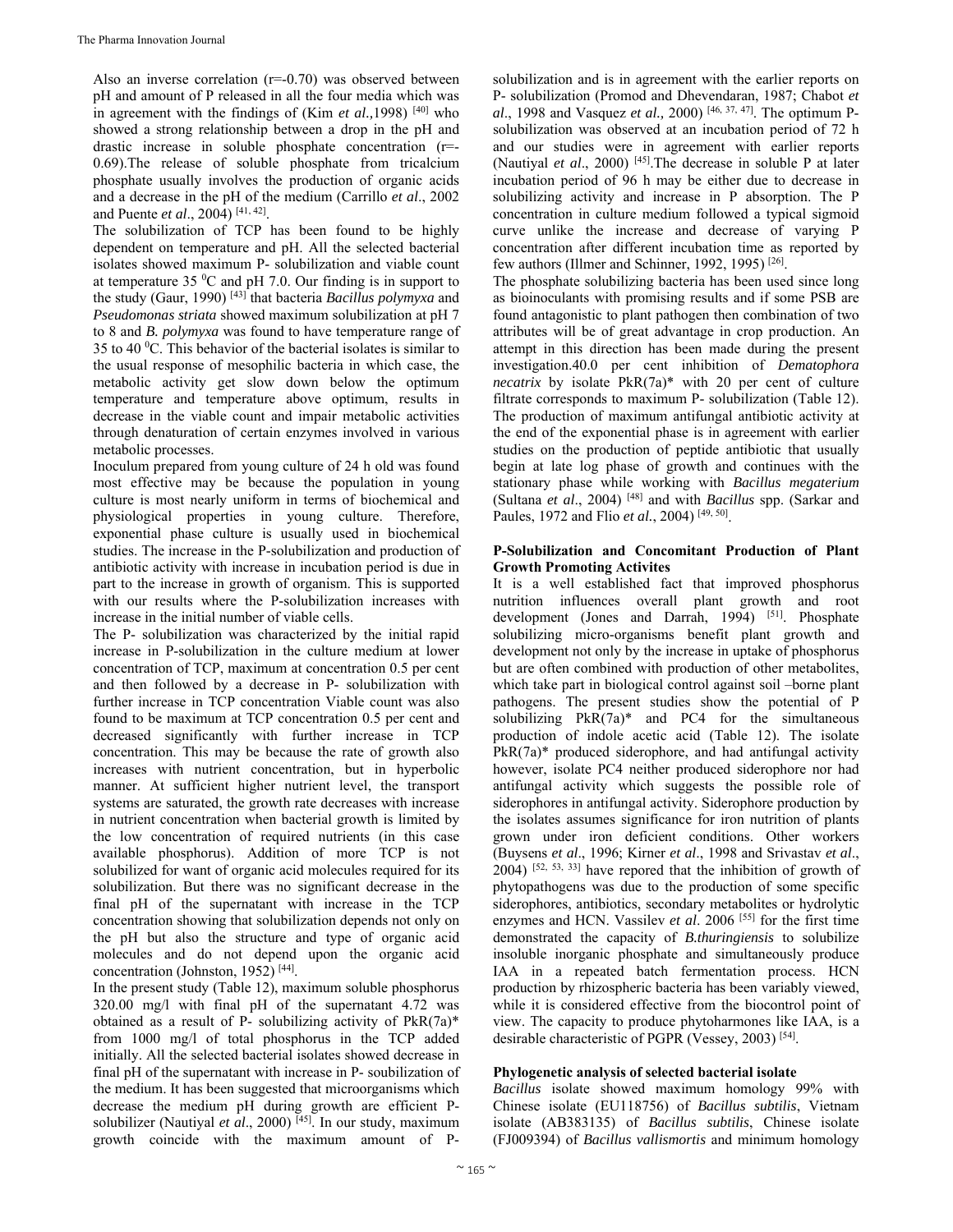Also an inverse correlation (r=-0.70) was observed between pH and amount of P released in all the four media which was in agreement with the findings of (Kim *et al.*, 1998)  $[40]$  who showed a strong relationship between a drop in the pH and drastic increase in soluble phosphate concentration (r=- 0.69).The release of soluble phosphate from tricalcium phosphate usually involves the production of organic acids and a decrease in the pH of the medium (Carrillo *et al*., 2002 and Puente *et al*., 2004) [41, 42].

The solubilization of TCP has been found to be highly dependent on temperature and pH. All the selected bacterial isolates showed maximum P- solubilization and viable count at temperature  $35 \degree C$  and pH 7.0. Our finding is in support to the study (Gaur, 1990) [43] that bacteria *Bacillus polymyxa* and *Pseudomonas striata* showed maximum solubilization at pH 7 to 8 and *B. polymyxa* was found to have temperature range of 35 to 40 $\degree$ C. This behavior of the bacterial isolates is similar to the usual response of mesophilic bacteria in which case, the metabolic activity get slow down below the optimum temperature and temperature above optimum, results in decrease in the viable count and impair metabolic activities through denaturation of certain enzymes involved in various metabolic processes.

Inoculum prepared from young culture of 24 h old was found most effective may be because the population in young culture is most nearly uniform in terms of biochemical and physiological properties in young culture. Therefore, exponential phase culture is usually used in biochemical studies. The increase in the P-solubilization and production of antibiotic activity with increase in incubation period is due in part to the increase in growth of organism. This is supported with our results where the P-solubilization increases with increase in the initial number of viable cells.

The P- solubilization was characterized by the initial rapid increase in P-solubilization in the culture medium at lower concentration of TCP, maximum at concentration 0.5 per cent and then followed by a decrease in P- solubilization with further increase in TCP concentration Viable count was also found to be maximum at TCP concentration 0.5 per cent and decreased significantly with further increase in TCP concentration. This may be because the rate of growth also increases with nutrient concentration, but in hyperbolic manner. At sufficient higher nutrient level, the transport systems are saturated, the growth rate decreases with increase in nutrient concentration when bacterial growth is limited by the low concentration of required nutrients (in this case available phosphorus). Addition of more TCP is not solubilized for want of organic acid molecules required for its solubilization. But there was no significant decrease in the final pH of the supernatant with increase in the TCP concentration showing that solubilization depends not only on the pH but also the structure and type of organic acid molecules and do not depend upon the organic acid concentration (Johnston, 1952) [44].

In the present study (Table 12), maximum soluble phosphorus 320.00 mg/l with final pH of the supernatant 4.72 was obtained as a result of P- solubilizing activity of  $P kR(7a)$ \* from 1000 mg/l of total phosphorus in the TCP added initially. All the selected bacterial isolates showed decrease in final pH of the supernatant with increase in P- soubilization of the medium. It has been suggested that microorganisms which decrease the medium pH during growth are efficient Psolubilizer (Nautiyal et al., 2000)<sup>[45]</sup>. In our study, maximum growth coincide with the maximum amount of P-

solubilization and is in agreement with the earlier reports on P- solubilization (Promod and Dhevendaran, 1987; Chabot *et al*., 1998 and Vasquez *et al.,* 2000) [46, 37, 47]. The optimum Psolubilization was observed at an incubation period of 72 h and our studies were in agreement with earlier reports (Nautiyal *et al*., 2000) [45].The decrease in soluble P at later incubation period of 96 h may be either due to decrease in solubilizing activity and increase in P absorption. The P concentration in culture medium followed a typical sigmoid curve unlike the increase and decrease of varying P concentration after different incubation time as reported by few authors (Illmer and Schinner, 1992, 1995)<sup>[26]</sup>.

The phosphate solubilizing bacteria has been used since long as bioinoculants with promising results and if some PSB are found antagonistic to plant pathogen then combination of two attributes will be of great advantage in crop production. An attempt in this direction has been made during the present investigation.40.0 per cent inhibition of *Dematophora necatrix* by isolate PkR(7a)\* with 20 per cent of culture filtrate corresponds to maximum P- solubilization (Table 12). The production of maximum antifungal antibiotic activity at the end of the exponential phase is in agreement with earlier studies on the production of peptide antibiotic that usually begin at late log phase of growth and continues with the stationary phase while working with *Bacillus megaterium* (Sultana *et al*., 2004) [48] and with *Bacillus* spp. (Sarkar and Paules, 1972 and Flio *et al.*, 2004) [49, 50].

#### **P-Solubilization and Concomitant Production of Plant Growth Promoting Activites**

It is a well established fact that improved phosphorus nutrition influences overall plant growth and root development (Jones and Darrah, 1994) <sup>[51]</sup>. Phosphate solubilizing micro-organisms benefit plant growth and development not only by the increase in uptake of phosphorus but are often combined with production of other metabolites, which take part in biological control against soil –borne plant pathogens. The present studies show the potential of P solubilizing  $PkR(7a)^*$  and PC4 for the simultaneous production of indole acetic acid (Table 12). The isolate PkR(7a)\* produced siderophore, and had antifungal activity however, isolate PC4 neither produced siderophore nor had antifungal activity which suggests the possible role of siderophores in antifungal activity. Siderophore production by the isolates assumes significance for iron nutrition of plants grown under iron deficient conditions. Other workers (Buysens *et al*., 1996; Kirner *et al*., 1998 and Srivastav *et al*.,  $2004$ ) [52, 53, 33] have repored that the inhibition of growth of phytopathogens was due to the production of some specific siderophores, antibiotics, secondary metabolites or hydrolytic enzymes and HCN. Vassilev *et al*. 2006 [55] for the first time demonstrated the capacity of *B.thuringiensis* to solubilize insoluble inorganic phosphate and simultaneously produce IAA in a repeated batch fermentation process. HCN production by rhizospheric bacteria has been variably viewed, while it is considered effective from the biocontrol point of view. The capacity to produce phytoharmones like IAA, is a desirable characteristic of PGPR (Vessey, 2003) [54].

#### **Phylogenetic analysis of selected bacterial isolate**

*Bacillus* isolate showed maximum homology 99% with Chinese isolate (EU118756) of *Bacillus subtilis*, Vietnam isolate (AB383135) of *Bacillus subtilis*, Chinese isolate (FJ009394) of *Bacillus vallismortis* and minimum homology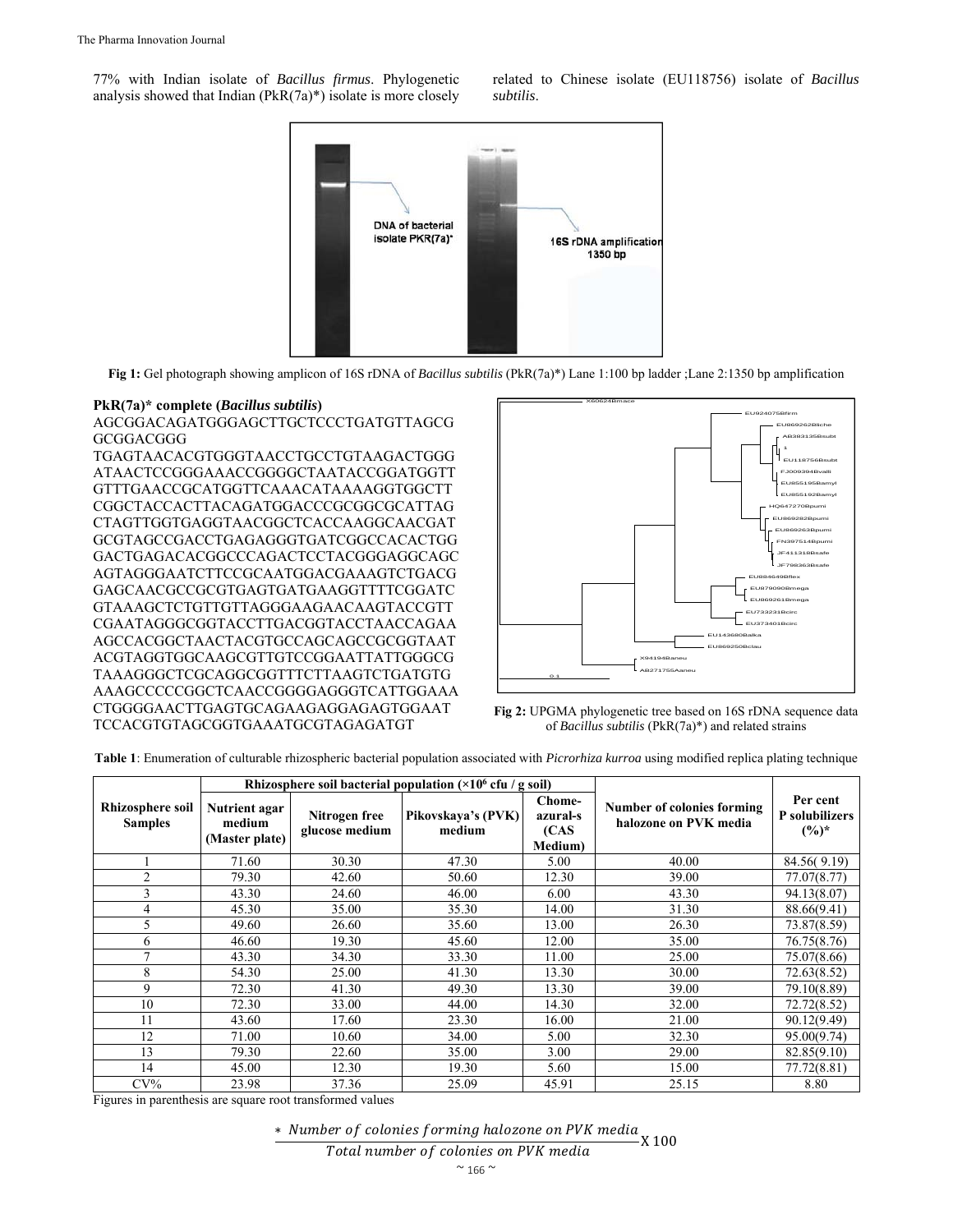77% with Indian isolate of *Bacillus firmus*. Phylogenetic analysis showed that Indian  $(PkR(7a)^*)$  isolate is more closely



**Fig 1:** Gel photograph showing amplicon of 16S rDNA of *Bacillus subtilis* (PkR(7a)\*) Lane 1:100 bp ladder ;Lane 2:1350 bp amplification

#### **PkR(7a)\* complete (***Bacillus subtilis***)**

AGCGGACAGATGGGAGCTTGCTCCCTGATGTTAGCG GCGGACGGG

TGAGTAACACGTGGGTAACCTGCCTGTAAGACTGGG ATAACTCCGGGAAACCGGGGCTAATACCGGATGGTT GTTTGAACCGCATGGTTCAAACATAAAAGGTGGCTT CGGCTACCACTTACAGATGGACCCGCGGCGCATTAG CTAGTTGGTGAGGTAACGGCTCACCAAGGCAACGAT GCGTAGCCGACCTGAGAGGGTGATCGGCCACACTGG GACTGAGACACGGCCCAGACTCCTACGGGAGGCAGC AGTAGGGAATCTTCCGCAATGGACGAAAGTCTGACG GAGCAACGCCGCGTGAGTGATGAAGGTTTTCGGATC GTAAAGCTCTGTTGTTAGGGAAGAACAAGTACCGTT CGAATAGGGCGGTACCTTGACGGTACCTAACCAGAA AGCCACGGCTAACTACGTGCCAGCAGCCGCGGTAAT ACGTAGGTGGCAAGCGTTGTCCGGAATTATTGGGCG TAAAGGGCTCGCAGGCGGTTTCTTAAGTCTGATGTG AAAGCCCCCGGCTCAACCGGGGAGGGTCATTGGAAA CTGGGGAACTTGAGTGCAGAAGAGGAGAGTGGAAT TCCACGTGTAGCGGTGAAATGCGTAGAGATGT





**Table 1**: Enumeration of culturable rhizospheric bacterial population associated with *Picrorhiza kurroa* using modified replica plating technique

|                                           |                                           |                                 | Rhizosphere soil bacterial population $(\times 10^6 \text{ cfu} / \text{g soil})$ |                                        |                                                            |                                       |  |  |
|-------------------------------------------|-------------------------------------------|---------------------------------|-----------------------------------------------------------------------------------|----------------------------------------|------------------------------------------------------------|---------------------------------------|--|--|
| <b>Rhizosphere soil</b><br><b>Samples</b> | Nutrient agar<br>medium<br>(Master plate) | Nitrogen free<br>glucose medium | Pikovskaya's (PVK)<br>medium                                                      | Chome-<br>azural-s<br>(CAS)<br>Medium) | <b>Number of colonies forming</b><br>halozone on PVK media | Per cent<br>P solubilizers<br>$(%)^*$ |  |  |
|                                           | 71.60                                     | 30.30                           | 47.30                                                                             | 5.00                                   | 40.00                                                      | 84.56(9.19)                           |  |  |
| $\overline{c}$                            | 79.30                                     | 42.60                           | 50.60                                                                             | 12.30                                  | 39.00                                                      | 77.07(8.77)                           |  |  |
| 3                                         | 43.30                                     | 24.60                           | 46.00                                                                             | 6.00                                   | 43.30                                                      | 94.13(8.07)                           |  |  |
| 4                                         | 45.30                                     | 35.00                           | 35.30                                                                             | 14.00                                  | 31.30                                                      | 88.66(9.41)                           |  |  |
| 5                                         | 49.60                                     | 26.60                           | 35.60                                                                             | 13.00                                  | 26.30                                                      | 73.87(8.59)                           |  |  |
| 6                                         | 46.60                                     | 19.30                           | 45.60                                                                             | 12.00                                  | 35.00                                                      | 76.75(8.76)                           |  |  |
| ⇁                                         | 43.30                                     | 34.30                           | 33.30                                                                             | 11.00                                  | 25.00                                                      | 75.07(8.66)                           |  |  |
| 8                                         | 54.30                                     | 25.00                           | 41.30                                                                             | 13.30                                  | 30.00                                                      | 72.63(8.52)                           |  |  |
| 9                                         | 72.30                                     | 41.30                           | 49.30                                                                             | 13.30                                  | 39.00                                                      | 79.10(8.89)                           |  |  |
| 10                                        | 72.30                                     | 33.00                           | 44.00                                                                             | 14.30                                  | 32.00                                                      | 72.72(8.52)                           |  |  |
| 11                                        | 43.60                                     | 17.60                           | 23.30                                                                             | 16.00                                  | 21.00                                                      | 90.12(9.49)                           |  |  |
| 12                                        | 71.00                                     | 10.60                           | 34.00                                                                             | 5.00                                   | 32.30                                                      | 95.00(9.74)                           |  |  |
| 13                                        | 79.30                                     | 22.60                           | 35.00                                                                             | 3.00                                   | 29.00                                                      | 82.85(9.10)                           |  |  |
| 14                                        | 45.00                                     | 12.30                           | 19.30                                                                             | 5.60                                   | 15.00                                                      | 77.72(8.81)                           |  |  |
| $CV\%$                                    | 23.98                                     | 37.36                           | 25.09                                                                             | 45.91                                  | 25.15                                                      | 8.80                                  |  |  |

Figures in parenthesis are square root transformed values

\* Number of colonies forming halozone on PVK media<br>X 100

Total number of colonies on PVK media

related to Chinese isolate (EU118756) isolate of *Bacillus subtilis*.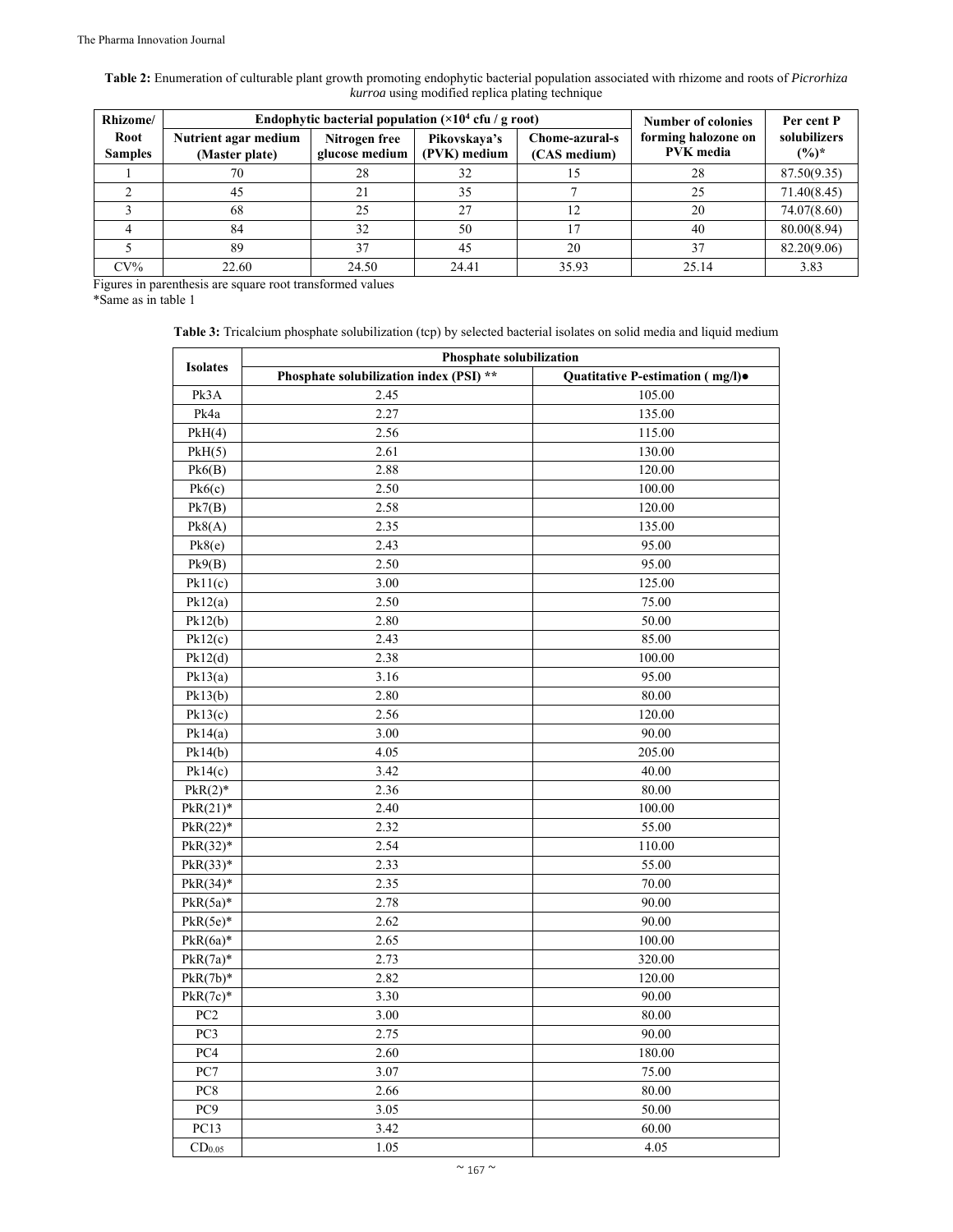**Table 2:** Enumeration of culturable plant growth promoting endophytic bacterial population associated with rhizome and roots of *Picrorhiza kurroa* using modified replica plating technique

| Rhizome/               |                                        | Endophytic bacterial population $(\times 10^4 \text{ cft} / \text{g root})$ |                              |                                | <b>Number of colonies</b>               | Per cent P              |  |  |
|------------------------|----------------------------------------|-----------------------------------------------------------------------------|------------------------------|--------------------------------|-----------------------------------------|-------------------------|--|--|
| Root<br><b>Samples</b> | Nutrient agar medium<br>(Master plate) | Nitrogen free<br>glucose medium                                             | Pikovskava's<br>(PVK) medium | Chome-azural-s<br>(CAS medium) | forming halozone on<br><b>PVK</b> media | solubilizers<br>$(%)^*$ |  |  |
|                        | 70                                     | 28                                                                          | 32                           |                                | 28                                      | 87.50(9.35)             |  |  |
|                        | 45                                     | 21                                                                          | 35                           |                                | 25                                      | 71.40(8.45)             |  |  |
|                        | 68                                     | 25                                                                          | 27                           |                                | 20                                      | 74.07(8.60)             |  |  |
|                        | 84                                     | 32                                                                          | 50                           |                                | 40                                      | 80.00(8.94)             |  |  |
|                        | 89                                     | 37                                                                          | 45                           | 20                             | 37                                      | 82.20(9.06)             |  |  |
| $CV\%$                 | 22.60                                  | 24.50                                                                       | 24.41                        | 35.93                          | 25.14                                   | 3.83                    |  |  |

Figures in parenthesis are square root transformed values

\*Same as in table 1

Table 3: Tricalcium phosphate solubilization (tcp) by selected bacterial isolates on solid media and liquid medium

|                    | <b>Phosphate solubilization</b>         |                                  |  |  |  |  |  |  |  |  |  |  |
|--------------------|-----------------------------------------|----------------------------------|--|--|--|--|--|--|--|--|--|--|
| <b>Isolates</b>    | Phosphate solubilization index (PSI) ** | Quatitative P-estimation (mg/l). |  |  |  |  |  |  |  |  |  |  |
| Pk3A               | 2.45                                    | 105.00                           |  |  |  |  |  |  |  |  |  |  |
| Pk4a               | 2.27                                    | 135.00                           |  |  |  |  |  |  |  |  |  |  |
| PKH(4)             | 2.56                                    | 115.00                           |  |  |  |  |  |  |  |  |  |  |
| PKH(5)             | 2.61                                    | 130.00                           |  |  |  |  |  |  |  |  |  |  |
| Pk6(B)             | 2.88                                    | 120.00                           |  |  |  |  |  |  |  |  |  |  |
| Pk6(c)             | 2.50                                    | 100.00                           |  |  |  |  |  |  |  |  |  |  |
| Pk7(B)             | 2.58                                    | 120.00                           |  |  |  |  |  |  |  |  |  |  |
| Pk8(A)             | 2.35                                    | 135.00                           |  |  |  |  |  |  |  |  |  |  |
| Pk8(e)             | 2.43                                    | 95.00                            |  |  |  |  |  |  |  |  |  |  |
| Pk9(B)             | 2.50                                    | 95.00                            |  |  |  |  |  |  |  |  |  |  |
| Pk11(c)            | 3.00                                    | 125.00                           |  |  |  |  |  |  |  |  |  |  |
| Pk12(a)            | 2.50                                    | 75.00                            |  |  |  |  |  |  |  |  |  |  |
| Pk12(b)            | 2.80                                    | 50.00                            |  |  |  |  |  |  |  |  |  |  |
| Pk12(c)            | 2.43                                    | 85.00                            |  |  |  |  |  |  |  |  |  |  |
| Pk12(d)            | 2.38                                    | 100.00                           |  |  |  |  |  |  |  |  |  |  |
| Pk13(a)            | 3.16                                    | 95.00                            |  |  |  |  |  |  |  |  |  |  |
| Pk13(b)            | 2.80                                    | 80.00                            |  |  |  |  |  |  |  |  |  |  |
| Pk13(c)            | 2.56                                    | 120.00                           |  |  |  |  |  |  |  |  |  |  |
| Pk14(a)            | 3.00                                    | 90.00                            |  |  |  |  |  |  |  |  |  |  |
| Pk14(b)            | 4.05                                    | 205.00                           |  |  |  |  |  |  |  |  |  |  |
| Pk14(c)            | 3.42                                    | 40.00                            |  |  |  |  |  |  |  |  |  |  |
| $PkR(2)*$          | 2.36                                    | 80.00                            |  |  |  |  |  |  |  |  |  |  |
| $PkR(21)*$         | 2.40                                    | 100.00                           |  |  |  |  |  |  |  |  |  |  |
| $PkR(22)*$         | 2.32                                    | 55.00                            |  |  |  |  |  |  |  |  |  |  |
| $PkR(32)*$         | 2.54                                    | 110.00                           |  |  |  |  |  |  |  |  |  |  |
| $PkR(33)*$         | 2.33                                    | 55.00                            |  |  |  |  |  |  |  |  |  |  |
| $PkR(34)*$         | 2.35                                    | 70.00                            |  |  |  |  |  |  |  |  |  |  |
| $PkR(5a)*$         | 2.78                                    | 90.00                            |  |  |  |  |  |  |  |  |  |  |
| $PkR(5e)$ *        | 2.62                                    | 90.00                            |  |  |  |  |  |  |  |  |  |  |
| $PkR(6a)*$         | 2.65                                    | 100.00                           |  |  |  |  |  |  |  |  |  |  |
| $PkR(7a)*$         | 2.73                                    | 320.00                           |  |  |  |  |  |  |  |  |  |  |
| $PkR(7b)*$         | 2.82                                    | 120.00                           |  |  |  |  |  |  |  |  |  |  |
| $PkR(7c)*$         | 3.30                                    | 90.00                            |  |  |  |  |  |  |  |  |  |  |
| PC <sub>2</sub>    | 3.00                                    | 80.00                            |  |  |  |  |  |  |  |  |  |  |
| PC3                | 2.75                                    | 90.00                            |  |  |  |  |  |  |  |  |  |  |
| PC4                | 2.60                                    | 180.00                           |  |  |  |  |  |  |  |  |  |  |
| PC7                | 3.07                                    | 75.00                            |  |  |  |  |  |  |  |  |  |  |
| PC8                | 2.66                                    | 80.00                            |  |  |  |  |  |  |  |  |  |  |
| PC9                | 3.05                                    | 50.00                            |  |  |  |  |  |  |  |  |  |  |
| PC13               | 3.42                                    | 60.00                            |  |  |  |  |  |  |  |  |  |  |
| CD <sub>0.05</sub> | 1.05                                    | 4.05                             |  |  |  |  |  |  |  |  |  |  |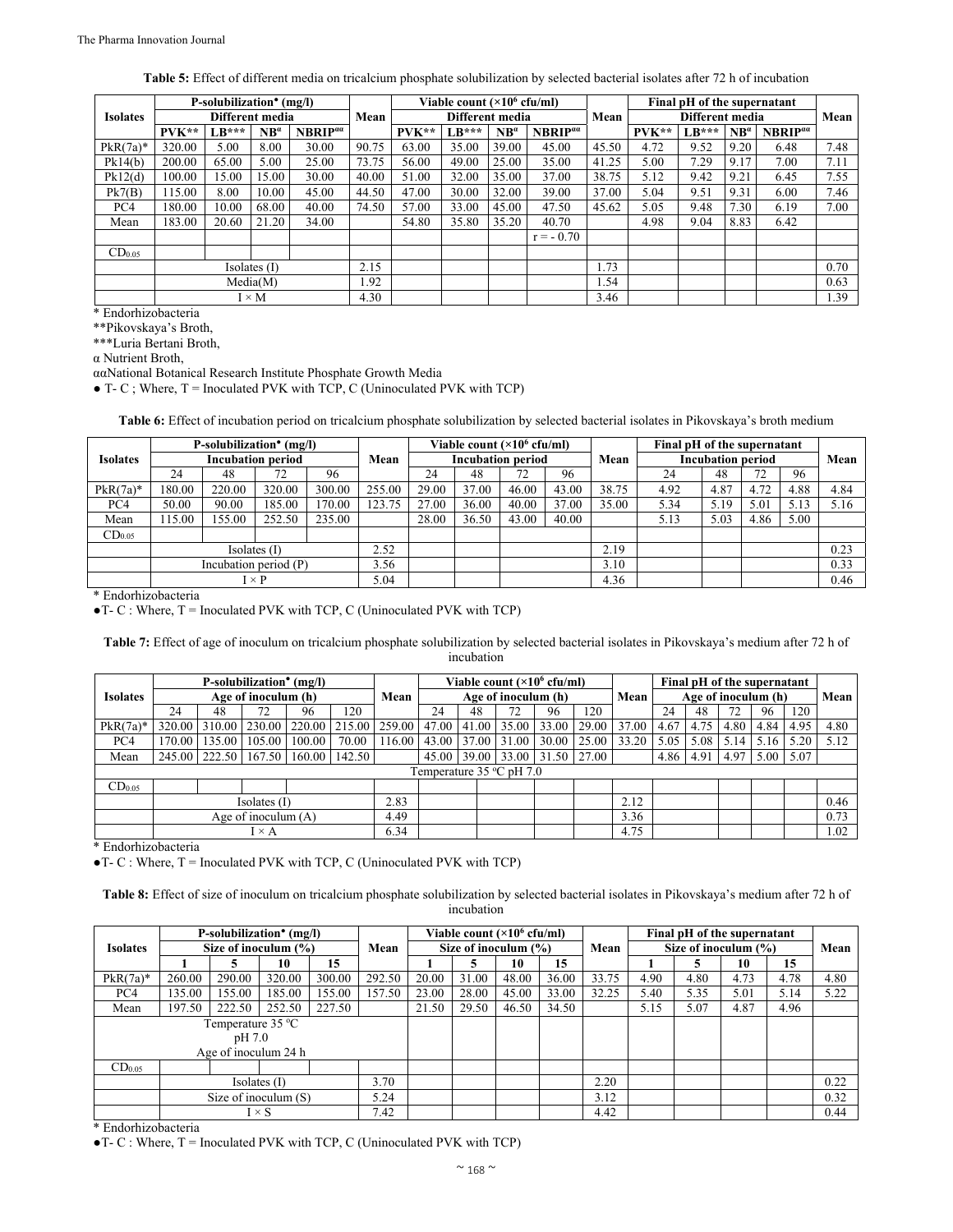| <b>Table 5:</b> Effect of different media on tricalcium phosphate solubilization by selected bacterial isolates after 72 h of incubation |  |
|------------------------------------------------------------------------------------------------------------------------------------------|--|
|------------------------------------------------------------------------------------------------------------------------------------------|--|

|                    |                                  | P-solubilization <sup>•</sup> (mg/l) |                         |                     |       |         | Viable count $(\times 10^6 \text{ cftm})$ |               |                            |                 |         | Final pH of the supernatant |               |                            |      |  |
|--------------------|----------------------------------|--------------------------------------|-------------------------|---------------------|-------|---------|-------------------------------------------|---------------|----------------------------|-----------------|---------|-----------------------------|---------------|----------------------------|------|--|
| <b>Isolates</b>    |                                  |                                      | Different media<br>Mean |                     |       |         | Different media                           |               | Mean                       | Different media |         |                             |               | Mean                       |      |  |
|                    | $PVK**$                          | $LR***$                              | $NB^{\alpha}$           | NBRIP <sup>aa</sup> |       | $PVK**$ | $LR***$                                   | $NB^{\alpha}$ | <b>NBRIP</b> <sup>aa</sup> |                 | $PVK**$ | $LR***$                     | $NB^{\alpha}$ | <b>NBRIP</b> <sup>aa</sup> |      |  |
| $PkR(7a)*$         | 320.00                           | 5.00                                 | 8.00                    | 30.00               | 90.75 | 63.00   | 35.00                                     | 39.00         | 45.00                      | 45.50           | 4.72    | 9.52                        | 9.20          | 6.48                       | 7.48 |  |
| Pk14(b)            | 200.00                           | 65.00                                | 5.00                    | 25.00               | 73.75 | 56.00   | 49.00                                     | 25.00         | 35.00                      | 41.25           | 5.00    | 7.29                        | 9.17          | 7.00                       | 7.11 |  |
| Pk12(d)            | 100.00                           | 15.00                                | 15.00                   | 30.00               | 40.00 | 51.00   | 32.00                                     | 35.00         | 37.00                      | 38.75           | 5.12    | 9.42                        | 9.21          | 6.45                       | 7.55 |  |
| Pk7(B)             | 115.00<br>8.00<br>10.00<br>45.00 |                                      | 44.50                   | 47.00               | 30.00 | 32.00   | 39.00                                     | 37.00         | 5.04                       | 9.51            | 9.31    | 6.00                        | 7.46          |                            |      |  |
| PC4                | 180.00                           | 10.00                                | 68.00                   | 40.00               | 74.50 | 57.00   | 33.00                                     | 45.00         | 47.50                      | 45.62           | 5.05    | 9.48                        | 7.30          | 6.19                       | 7.00 |  |
| Mean               | 183.00                           | 20.60                                | 21.20                   | 34.00               |       | 54.80   | 35.80                                     | 35.20         | 40.70                      |                 | 4.98    | 9.04                        | 8.83          | 6.42                       |      |  |
|                    |                                  |                                      |                         |                     |       |         |                                           |               | $r = -0.70$                |                 |         |                             |               |                            |      |  |
| CD <sub>0.05</sub> |                                  |                                      |                         |                     |       |         |                                           |               |                            |                 |         |                             |               |                            |      |  |
|                    | Isolates $(I)$                   |                                      |                         |                     |       |         |                                           |               |                            | 1.73            |         |                             |               |                            | 0.70 |  |
|                    | Media(M)                         |                                      |                         |                     |       |         |                                           |               |                            | 1.54            |         |                             |               |                            | 0.63 |  |
|                    | $I \times M$                     |                                      |                         |                     |       |         |                                           |               |                            | 3.46            |         |                             |               |                            | 1.39 |  |

\* Endorhizobacteria

\*\*Pikovskaya's Broth,

\*\*\*Luria Bertani Broth,

α Nutrient Broth,

ααNational Botanical Research Institute Phosphate Growth Media

 $\bullet$  T- C; Where, T = Inoculated PVK with TCP, C (Uninoculated PVK with TCP)

**Table 6:** Effect of incubation period on tricalcium phosphate solubilization by selected bacterial isolates in Pikovskaya's broth medium

|                    |        | P-solubilization <sup>•</sup> (mg/l) |              |        |                          | Viable count $(\times 10^6 \text{ cftm})$ |       |       |                          | Final pH of the supernatant |      |      |      |      |      |
|--------------------|--------|--------------------------------------|--------------|--------|--------------------------|-------------------------------------------|-------|-------|--------------------------|-----------------------------|------|------|------|------|------|
| <b>Isolates</b>    |        | <b>Incubation period</b>             | Mean         |        | <b>Incubation period</b> |                                           |       | Mean  | <b>Incubation period</b> | Mean                        |      |      |      |      |      |
|                    | 24     | 48                                   | 72           | 96     |                          | 24                                        | 48    | 72    | 96                       |                             | 24   | 48   |      | 96   |      |
| $PkR(7a)*$         | 180.00 | 220.00                               | 320.00       | 300.00 | 255.00                   | 29.00                                     | 37.00 | 46.00 | 43.00                    | 38.75                       | 4.92 | 4.87 | 4.72 | 4.88 | 4.84 |
| PC4                | 50.00  | 90.00                                | 185.00       | 170.00 | 123.75                   | 27.00                                     | 36.00 | 40.00 | 37.00                    | 35.00                       | 5.34 | 5.19 | 5.01 | 5.13 | 5.16 |
| Mean               | 115.00 | 155.00                               | 252.50       | 235.00 |                          | 28.00                                     | 36.50 | 43.00 | 40.00                    |                             | 5.13 | 5.03 | 4.86 | 5.00 |      |
| CD <sub>0.05</sub> |        |                                      |              |        |                          |                                           |       |       |                          |                             |      |      |      |      |      |
|                    |        | Isolates (I)                         | 2.52         |        |                          |                                           |       | 2.19  |                          |                             |      |      | 0.23 |      |      |
|                    |        | Incubation period (P)                | 3.56         |        |                          |                                           |       | 3.10  |                          |                             |      |      | 0.33 |      |      |
|                    |        |                                      | $I \times P$ |        | 5.04                     |                                           |       |       |                          | 4.36                        |      |      |      |      | 0.46 |

\* Endorhizobacteria

 $\bullet$  T- C : Where, T = Inoculated PVK with TCP, C (Uninoculated PVK with TCP)

**Table 7:** Effect of age of inoculum on tricalcium phosphate solubilization by selected bacterial isolates in Pikovskaya's medium after 72 h of incubation

|                    |                               | P-solubilization <sup>•</sup> (mg/l) |        |               | Viable count $(\times 10^6 \text{ cftm})$ |                         |       |      | Final pH of the supernatant   |       |       |       |      |      |      |      |      |      |
|--------------------|-------------------------------|--------------------------------------|--------|---------------|-------------------------------------------|-------------------------|-------|------|-------------------------------|-------|-------|-------|------|------|------|------|------|------|
| <b>Isolates</b>    |                               | Age of inoculum (h)                  |        |               |                                           |                         |       | Mean | Age of inoculum (h)           |       |       |       |      | Mean |      |      |      |      |
|                    | 24                            | 48                                   |        | 96            | 120                                       |                         | 24    | 48   | 72                            | 96    | 120   |       | 24   | 48   | 72   | 96   | 120  |      |
| $PkR(7a)*$         | 320.00                        | 310.00                               |        | 230.00 220.00 |                                           | 215.00   259.00   47.00 |       |      | $41.00 \mid 35.00$            | 33.00 | 29.00 | 37.00 | 4.67 | 4.75 | 4.80 | 4.84 | 4.95 | 4.80 |
| PC <sub>4</sub>    | 170.00                        | 135.00                               | 105.00 | 100.00        | 70.00                                     | 116.00                  | 43.00 |      | 37.00 31.00                   | 30.00 | 25.00 | 33.20 | 5.05 | 5.08 | 5.14 | 5.16 |      | 5.12 |
| Mean               |                               | 245.00 222.50                        | 167.50 | 160.00        | 142.50                                    |                         |       |      | 45.00 39.00 33.00 31.50 27.00 |       |       |       | 4.86 | 4.91 | 4.97 | 5.00 | 5.07 |      |
|                    |                               |                                      |        |               |                                           |                         |       |      | Temperature 35 °C pH 7.0      |       |       |       |      |      |      |      |      |      |
| CD <sub>0.05</sub> |                               |                                      |        |               |                                           |                         |       |      |                               |       |       |       |      |      |      |      |      |      |
| Isolates (I)       |                               |                                      |        |               | 2.83                                      |                         |       |      |                               |       | 2.12  |       |      |      |      |      | 0.46 |      |
|                    | Age of inoculum $(A)$         |                                      |        |               |                                           | 4.49                    |       |      |                               |       |       | 3.36  |      |      |      |      |      | 0.73 |
|                    | $\mathrm{I}\times \mathrm{A}$ |                                      |        |               |                                           | 6.34                    |       |      |                               |       |       | 4.75  |      |      |      |      |      | 1.02 |

\* Endorhizobacteria

 $\bullet$  T- C : Where, T = Inoculated PVK with TCP, C (Uninoculated PVK with TCP)

**Table 8:** Effect of size of inoculum on tricalcium phosphate solubilization by selected bacterial isolates in Pikovskaya's medium after 72 h of incubation

|                    |                          |                        | P-solubilization <sup>•</sup> (mg/l) |        |                          | Viable count $(\times 10^6 \text{ cftm})$ |       |       |       | Final pH of the supernatant |      |      |      |      |      |
|--------------------|--------------------------|------------------------|--------------------------------------|--------|--------------------------|-------------------------------------------|-------|-------|-------|-----------------------------|------|------|------|------|------|
| <b>Isolates</b>    | Size of inoculum $(\% )$ |                        |                                      | Mean   | Size of inoculum $(\% )$ |                                           |       |       | Mean  | Size of inoculum $(\% )$    | Mean |      |      |      |      |
|                    |                          |                        | 10                                   | 15     |                          |                                           |       | 10    | 15    |                             |      |      | 10   | 15   |      |
| $PkR(7a)*$         | 260.00                   | 290.00                 | 320.00                               | 300.00 | 292.50                   | 20.00                                     | 31.00 | 48.00 | 36.00 | 33.75                       | 4.90 | 4.80 | 4.73 | 4.78 | 4.80 |
| PC4                | 135.00                   | 155.00                 | 185.00                               | 155.00 | 157.50                   | 23.00                                     | 28.00 | 45.00 | 33.00 | 32.25                       | 5.40 | 5.35 | 5.01 | 5.14 | 5.22 |
| Mean               | 197.50                   | 222.50                 | 252.50                               | 227.50 |                          | 21.50                                     | 29.50 | 46.50 | 34.50 |                             | 5.15 | 5.07 | 4.87 | 4.96 |      |
| Temperature 35 °C  |                          |                        |                                      |        |                          |                                           |       |       |       |                             |      |      |      |      |      |
|                    |                          | pH 7.0                 |                                      |        |                          |                                           |       |       |       |                             |      |      |      |      |      |
|                    |                          |                        | Age of inoculum 24 h                 |        |                          |                                           |       |       |       |                             |      |      |      |      |      |
| CD <sub>0.05</sub> |                          |                        |                                      |        |                          |                                           |       |       |       |                             |      |      |      |      |      |
|                    |                          | Isolates (I)           | 3.70                                 |        |                          |                                           |       | 2.20  |       |                             |      |      | 0.22 |      |      |
|                    |                          | Size of inoculum $(S)$ | 5.24                                 |        |                          |                                           |       | 3.12  |       |                             |      |      | 0.32 |      |      |
|                    |                          | $I \times S$           | 7.42                                 |        |                          |                                           |       | 4.42  |       |                             |      |      | 0.44 |      |      |

\* Endorhizobacteria

 $\bullet$  T- C : Where, T = Inoculated PVK with TCP, C (Uninoculated PVK with TCP)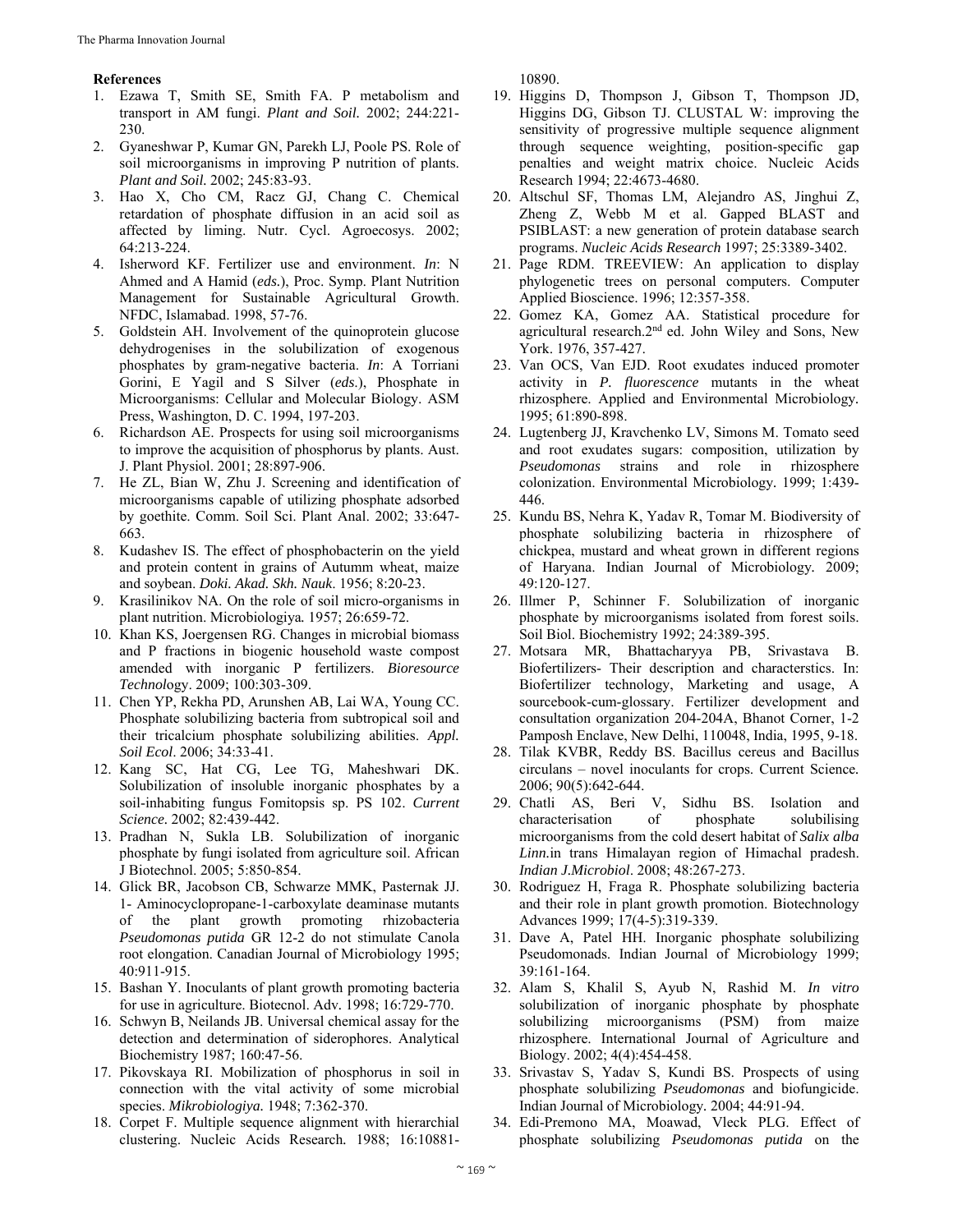#### **References**

- 1. Ezawa T, Smith SE, Smith FA. P metabolism and transport in AM fungi. *Plant and Soil.* 2002; 244:221- 230.
- 2. Gyaneshwar P, Kumar GN, Parekh LJ, Poole PS. Role of soil microorganisms in improving P nutrition of plants. *Plant and Soil.* 2002; 245:83-93.
- 3. Hao X, Cho CM, Racz GJ, Chang C. Chemical retardation of phosphate diffusion in an acid soil as affected by liming. Nutr. Cycl. Agroecosys. 2002; 64:213-224.
- 4. Isherword KF. Fertilizer use and environment. *In*: N Ahmed and A Hamid (*eds.*), Proc. Symp. Plant Nutrition Management for Sustainable Agricultural Growth. NFDC, Islamabad. 1998, 57-76.
- 5. Goldstein AH. Involvement of the quinoprotein glucose dehydrogenises in the solubilization of exogenous phosphates by gram-negative bacteria. *In*: A Torriani Gorini, E Yagil and S Silver (*eds*.), Phosphate in Microorganisms: Cellular and Molecular Biology. ASM Press, Washington, D. C. 1994, 197-203.
- 6. Richardson AE. Prospects for using soil microorganisms to improve the acquisition of phosphorus by plants. Aust. J. Plant Physiol. 2001; 28:897-906.
- 7. He ZL, Bian W, Zhu J. Screening and identification of microorganisms capable of utilizing phosphate adsorbed by goethite. Comm. Soil Sci. Plant Anal. 2002; 33:647- 663.
- 8. Kudashev IS. The effect of phosphobacterin on the yield and protein content in grains of Autumm wheat, maize and soybean. *Doki. Akad. Skh. Nauk*. 1956; 8:20-23.
- 9. Krasilinikov NA. On the role of soil micro-organisms in plant nutrition. Microbiologiya*.* 1957; 26:659-72.
- 10. Khan KS, Joergensen RG. Changes in microbial biomass and P fractions in biogenic household waste compost amended with inorganic P fertilizers. *Bioresource Technol*ogy. 2009; 100:303-309.
- 11. Chen YP, Rekha PD, Arunshen AB, Lai WA, Young CC. Phosphate solubilizing bacteria from subtropical soil and their tricalcium phosphate solubilizing abilities. *Appl. Soil Ecol*. 2006; 34:33-41.
- 12. Kang SC, Hat CG, Lee TG, Maheshwari DK. Solubilization of insoluble inorganic phosphates by a soil-inhabiting fungus Fomitopsis sp. PS 102. *Current Science.* 2002; 82:439-442.
- 13. Pradhan N, Sukla LB. Solubilization of inorganic phosphate by fungi isolated from agriculture soil. African J Biotechnol. 2005; 5:850-854.
- 14. Glick BR, Jacobson CB, Schwarze MMK, Pasternak JJ. 1- Aminocyclopropane-1-carboxylate deaminase mutants of the plant growth promoting rhizobacteria *Pseudomonas putida* GR 12-2 do not stimulate Canola root elongation. Canadian Journal of Microbiology 1995; 40:911-915.
- 15. Bashan Y. Inoculants of plant growth promoting bacteria for use in agriculture. Biotecnol. Adv*.* 1998; 16:729-770.
- 16. Schwyn B, Neilands JB. Universal chemical assay for the detection and determination of siderophores. Analytical Biochemistry 1987; 160:47-56.
- 17. Pikovskaya RI. Mobilization of phosphorus in soil in connection with the vital activity of some microbial species. *Mikrobiologiya.* 1948; 7:362-370.
- 18. Corpet F. Multiple sequence alignment with hierarchial clustering. Nucleic Acids Research*.* 1988; 16:10881-

10890.

- 19. Higgins D, Thompson J, Gibson T, Thompson JD, Higgins DG, Gibson TJ. CLUSTAL W: improving the sensitivity of progressive multiple sequence alignment through sequence weighting, position-specific gap penalties and weight matrix choice. Nucleic Acids Research 1994; 22:4673-4680.
- 20. Altschul SF, Thomas LM, Alejandro AS, Jinghui Z, Zheng Z, Webb M et al. Gapped BLAST and PSIBLAST: a new generation of protein database search programs. *Nucleic Acids Research* 1997; 25:3389-3402.
- 21. Page RDM. TREEVIEW: An application to display phylogenetic trees on personal computers. Computer Applied Bioscience. 1996; 12:357-358.
- 22. Gomez KA, Gomez AA. Statistical procedure for agricultural research.2nd ed. John Wiley and Sons, New York. 1976, 357-427.
- 23. Van OCS, Van EJD. Root exudates induced promoter activity in *P. fluorescence* mutants in the wheat rhizosphere. Applied and Environmental Microbiology*.* 1995; 61:890-898.
- 24. Lugtenberg JJ, Kravchenko LV, Simons M. Tomato seed and root exudates sugars: composition, utilization by *Pseudomonas* strains and role in rhizosphere colonization. Environmental Microbiology*.* 1999; 1:439- 446.
- 25. Kundu BS, Nehra K, Yadav R, Tomar M. Biodiversity of phosphate solubilizing bacteria in rhizosphere of chickpea, mustard and wheat grown in different regions of Haryana. Indian Journal of Microbiology*.* 2009; 49:120-127.
- 26. Illmer P, Schinner F. Solubilization of inorganic phosphate by microorganisms isolated from forest soils. Soil Biol. Biochemistry 1992; 24:389-395.
- 27. Motsara MR, Bhattacharyya PB, Srivastava B. Biofertilizers- Their description and characterstics. In: Biofertilizer technology, Marketing and usage, A sourcebook-cum-glossary. Fertilizer development and consultation organization 204-204A, Bhanot Corner, 1-2 Pamposh Enclave, New Delhi, 110048, India, 1995, 9-18.
- 28. Tilak KVBR, Reddy BS. Bacillus cereus and Bacillus circulans – novel inoculants for crops. Current Science*.* 2006; 90(5):642-644.
- 29. Chatli AS, Beri V, Sidhu BS. Isolation and characterisation of phosphate solubilising microorganisms from the cold desert habitat of *Salix alba Linn.*in trans Himalayan region of Himachal pradesh. *Indian J.Microbiol*. 2008; 48:267-273.
- 30. Rodriguez H, Fraga R. Phosphate solubilizing bacteria and their role in plant growth promotion. Biotechnology Advances 1999; 17(4-5):319-339.
- 31. Dave A, Patel HH. Inorganic phosphate solubilizing Pseudomonads. Indian Journal of Microbiology 1999; 39:161-164.
- 32. Alam S, Khalil S, Ayub N, Rashid M. *In vitro* solubilization of inorganic phosphate by phosphate solubilizing microorganisms (PSM) from maize rhizosphere. International Journal of Agriculture and Biology. 2002; 4(4):454-458.
- 33. Srivastav S, Yadav S, Kundi BS. Prospects of using phosphate solubilizing *Pseudomonas* and biofungicide. Indian Journal of Microbiology*.* 2004; 44:91-94.
- 34. Edi-Premono MA, Moawad, Vleck PLG. Effect of phosphate solubilizing *Pseudomonas putida* on the